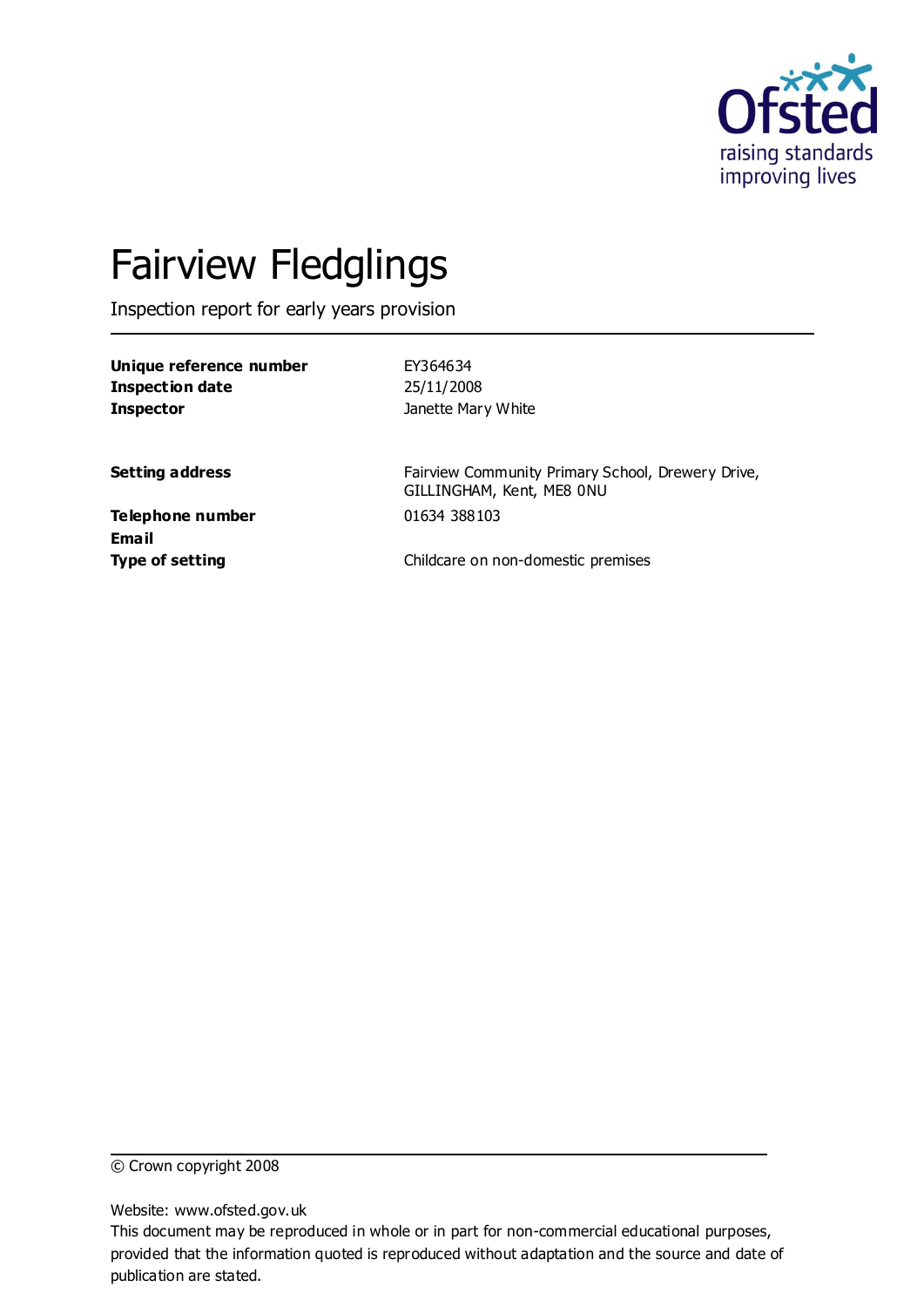

# Fairview Fledglings

Inspection report for early years provision

| Unique reference number |  |
|-------------------------|--|
| Inspection date         |  |
| <b>Inspector</b>        |  |

**Unique reference number** EY364634 **Inspection date** 25/11/2008 **Janette Mary White** 

**Setting address** Fairview Community Primary School, Drewery Drive, GILLINGHAM, Kent, ME8 0NU

**Telephone number** 01634 388103 **Email**

**Type of setting** Childcare on non-domestic premises

© Crown copyright 2008

Website: www.ofsted.gov.uk

This document may be reproduced in whole or in part for non-commercial educational purposes, provided that the information quoted is reproduced without adaptation and the source and date of publication are stated.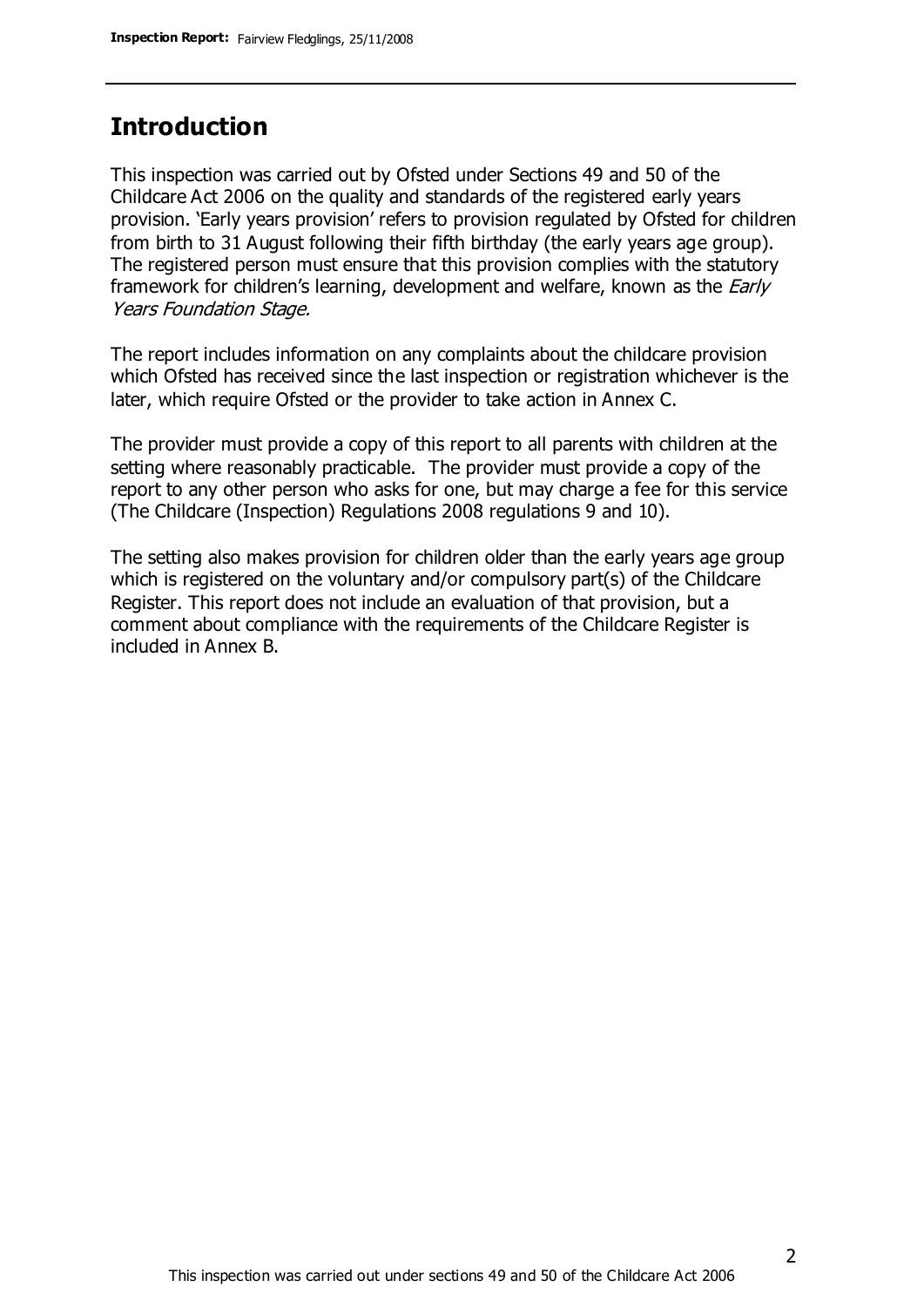### **Introduction**

This inspection was carried out by Ofsted under Sections 49 and 50 of the Childcare Act 2006 on the quality and standards of the registered early years provision. 'Early years provision' refers to provision regulated by Ofsted for children from birth to 31 August following their fifth birthday (the early years age group). The registered person must ensure that this provision complies with the statutory framework for children's learning, development and welfare, known as the *Early* Years Foundation Stage.

The report includes information on any complaints about the childcare provision which Ofsted has received since the last inspection or registration whichever is the later, which require Ofsted or the provider to take action in Annex C.

The provider must provide a copy of this report to all parents with children at the setting where reasonably practicable. The provider must provide a copy of the report to any other person who asks for one, but may charge a fee for this service (The Childcare (Inspection) Regulations 2008 regulations 9 and 10).

The setting also makes provision for children older than the early years age group which is registered on the voluntary and/or compulsory part(s) of the Childcare Register. This report does not include an evaluation of that provision, but a comment about compliance with the requirements of the Childcare Register is included in Annex B.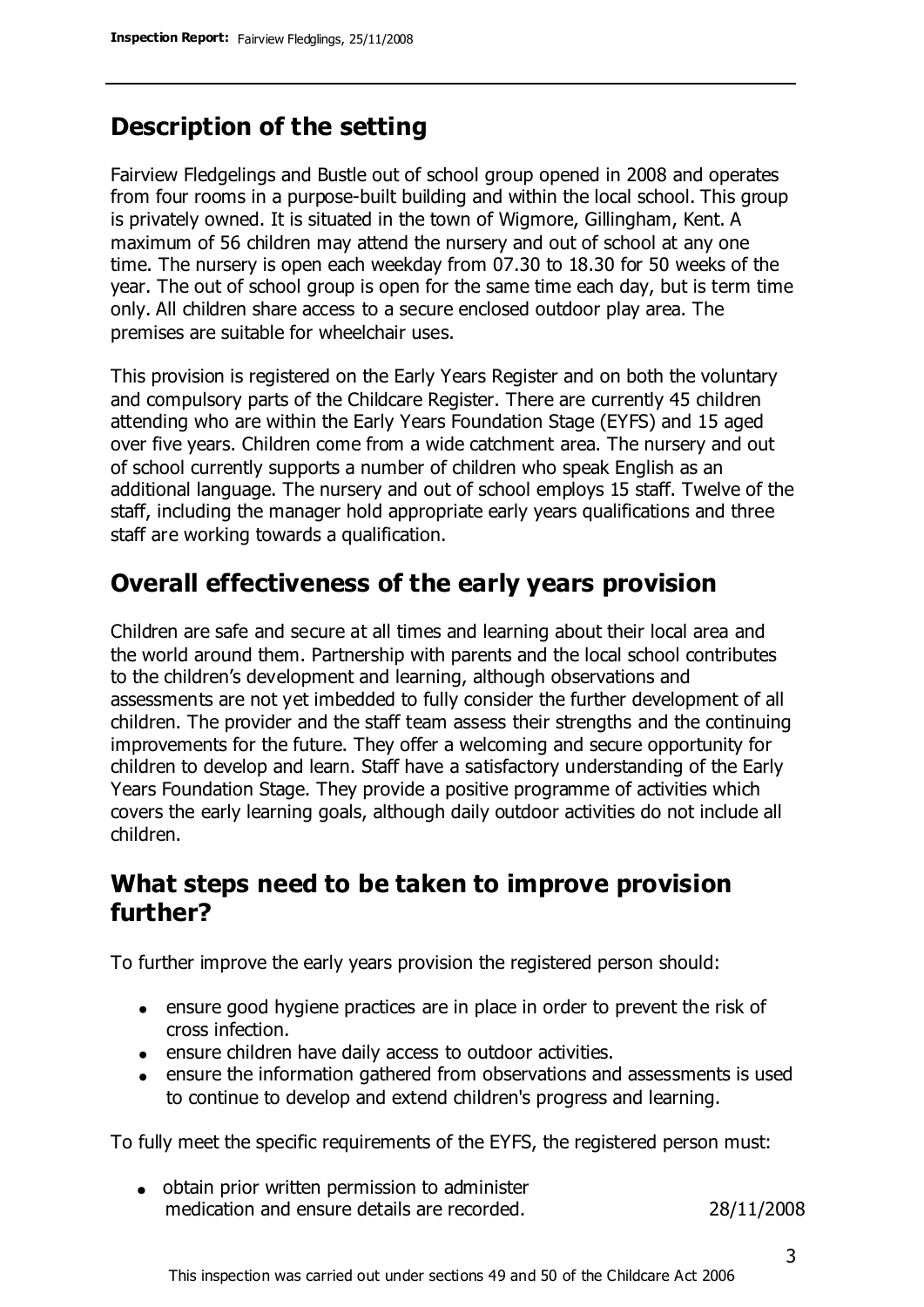## **Description of the setting**

Fairview Fledgelings and Bustle out of school group opened in 2008 and operates from four rooms in a purpose-built building and within the local school. This group is privately owned. It is situated in the town of Wigmore, Gillingham, Kent. A maximum of 56 children may attend the nursery and out of school at any one time. The nursery is open each weekday from 07.30 to 18.30 for 50 weeks of the year. The out of school group is open for the same time each day, but is term time only. All children share access to a secure enclosed outdoor play area. The premises are suitable for wheelchair uses.

This provision is registered on the Early Years Register and on both the voluntary and compulsory parts of the Childcare Register. There are currently 45 children attending who are within the Early Years Foundation Stage (EYFS) and 15 aged over five years. Children come from a wide catchment area. The nursery and out of school currently supports a number of children who speak English as an additional language. The nursery and out of school employs 15 staff. Twelve of the staff, including the manager hold appropriate early years qualifications and three staff are working towards a qualification.

### **Overall effectiveness of the early years provision**

Children are safe and secure at all times and learning about their local area and the world around them. Partnership with parents and the local school contributes to the children's development and learning, although observations and assessments are not yet imbedded to fully consider the further development of all children. The provider and the staff team assess their strengths and the continuing improvements for the future. They offer a welcoming and secure opportunity for children to develop and learn. Staff have a satisfactory understanding of the Early Years Foundation Stage. They provide a positive programme of activities which covers the early learning goals, although daily outdoor activities do not include all children.

### **What steps need to be taken to improve provision further?**

To further improve the early years provision the registered person should:

- ensure good hygiene practices are in place in order to prevent the risk of cross infection.
- ensure children have daily access to outdoor activities.
- ensure the information gathered from observations and assessments is used to continue to develop and extend children's progress and learning.

To fully meet the specific requirements of the EYFS, the registered person must:

• obtain prior written permission to administer medication and ensure details are recorded. 28/11/2008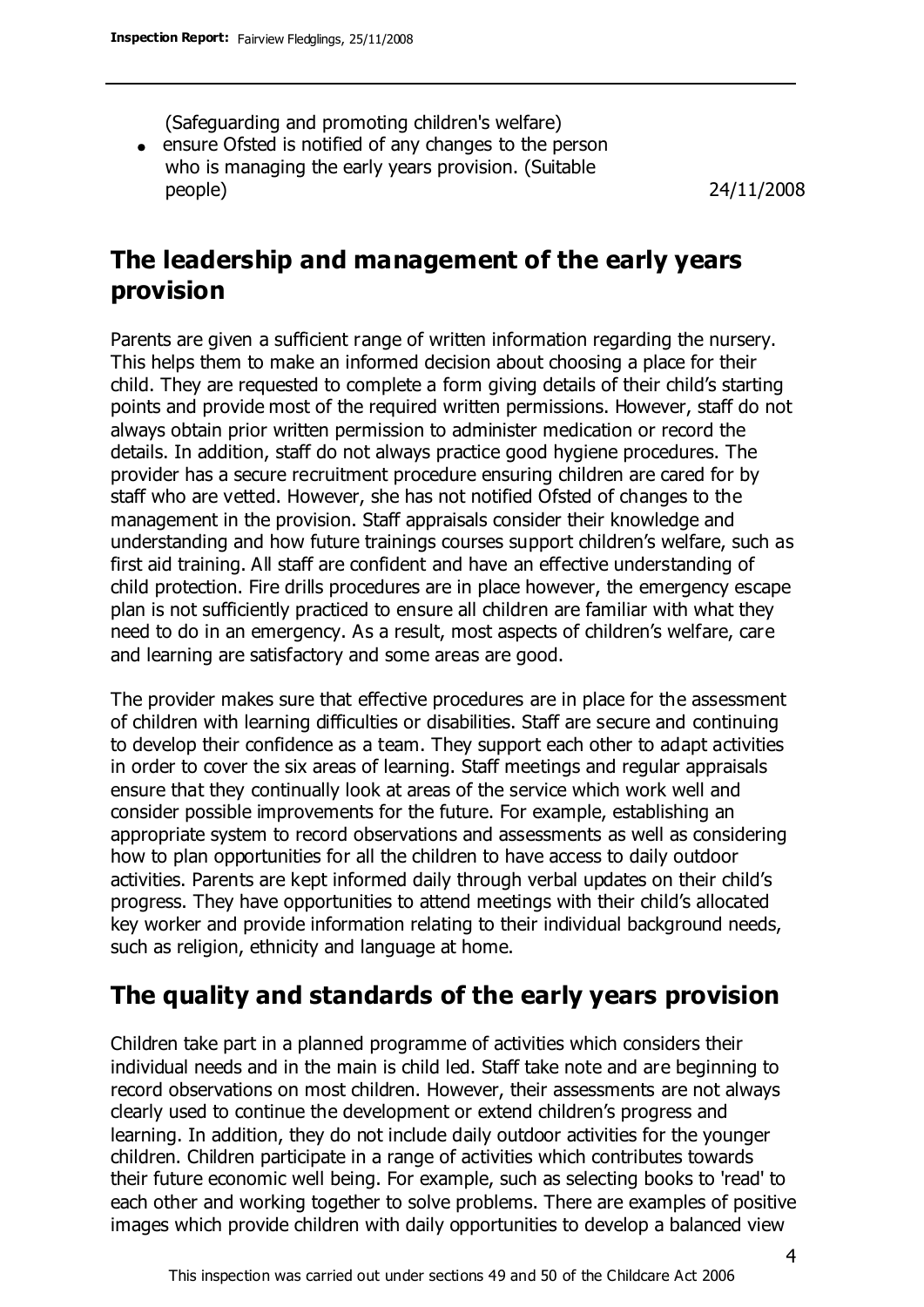(Safeguarding and promoting children's welfare)

ensure Ofsted is notified of any changes to the person who is managing the early years provision. (Suitable people) 24/11/2008

### **The leadership and management of the early years provision**

Parents are given a sufficient range of written information regarding the nursery. This helps them to make an informed decision about choosing a place for their child. They are requested to complete a form giving details of their child's starting points and provide most of the required written permissions. However, staff do not always obtain prior written permission to administer medication or record the details. In addition, staff do not always practice good hygiene procedures. The provider has a secure recruitment procedure ensuring children are cared for by staff who are vetted. However, she has not notified Ofsted of changes to the management in the provision. Staff appraisals consider their knowledge and understanding and how future trainings courses support children's welfare, such as first aid training. All staff are confident and have an effective understanding of child protection. Fire drills procedures are in place however, the emergency escape plan is not sufficiently practiced to ensure all children are familiar with what they need to do in an emergency. As a result, most aspects of children's welfare, care and learning are satisfactory and some areas are good.

The provider makes sure that effective procedures are in place for the assessment of children with learning difficulties or disabilities. Staff are secure and continuing to develop their confidence as a team. They support each other to adapt activities in order to cover the six areas of learning. Staff meetings and regular appraisals ensure that they continually look at areas of the service which work well and consider possible improvements for the future. For example, establishing an appropriate system to record observations and assessments as well as considering how to plan opportunities for all the children to have access to daily outdoor activities. Parents are kept informed daily through verbal updates on their child's progress. They have opportunities to attend meetings with their child's allocated key worker and provide information relating to their individual background needs, such as religion, ethnicity and language at home.

### **The quality and standards of the early years provision**

Children take part in a planned programme of activities which considers their individual needs and in the main is child led. Staff take note and are beginning to record observations on most children. However, their assessments are not always clearly used to continue the development or extend children's progress and learning. In addition, they do not include daily outdoor activities for the younger children. Children participate in a range of activities which contributes towards their future economic well being. For example, such as selecting books to 'read' to each other and working together to solve problems. There are examples of positive images which provide children with daily opportunities to develop a balanced view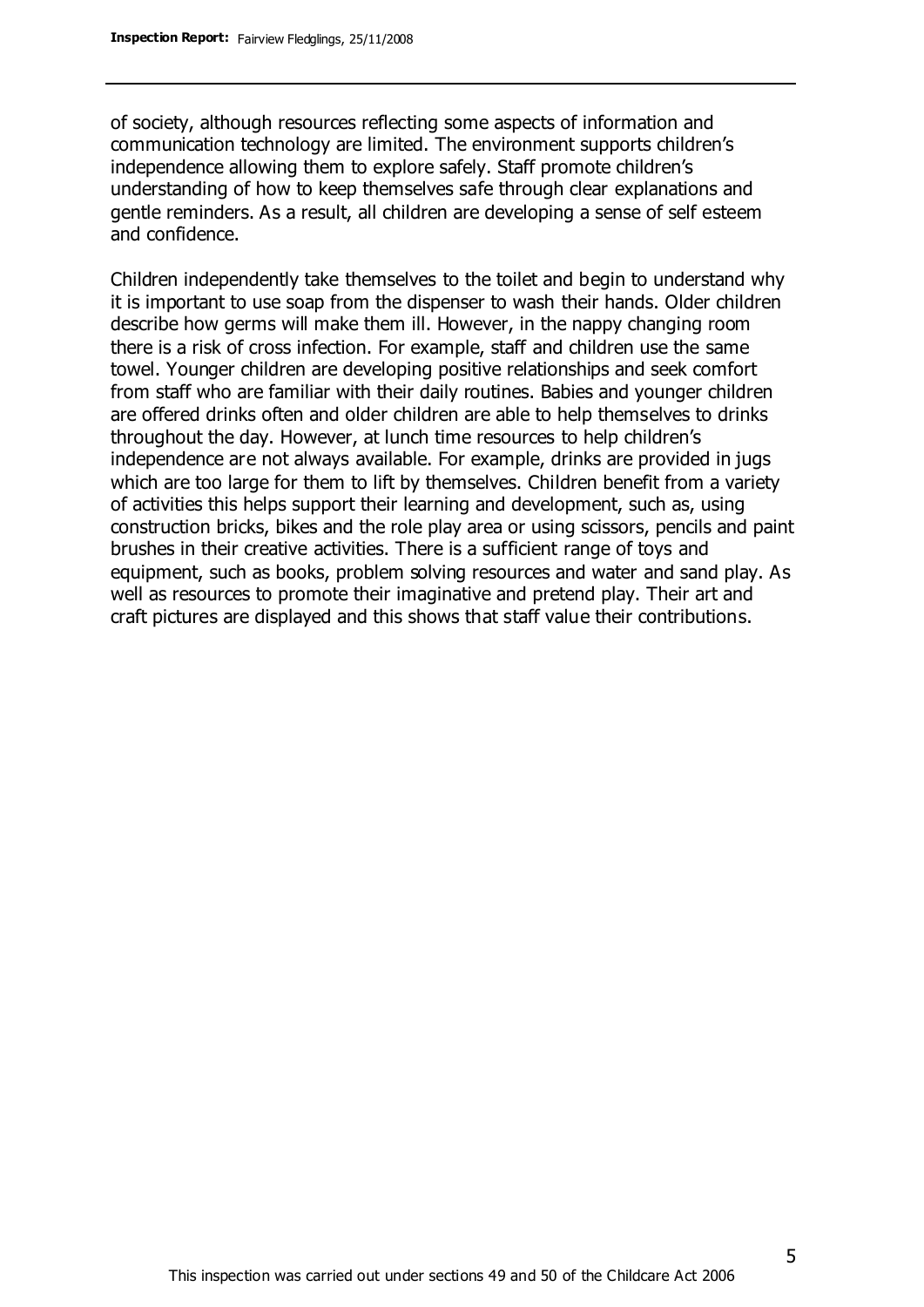of society, although resources reflecting some aspects of information and communication technology are limited. The environment supports children's independence allowing them to explore safely. Staff promote children's understanding of how to keep themselves safe through clear explanations and gentle reminders. As a result, all children are developing a sense of self esteem and confidence.

Children independently take themselves to the toilet and begin to understand why it is important to use soap from the dispenser to wash their hands. Older children describe how germs will make them ill. However, in the nappy changing room there is a risk of cross infection. For example, staff and children use the same towel. Younger children are developing positive relationships and seek comfort from staff who are familiar with their daily routines. Babies and younger children are offered drinks often and older children are able to help themselves to drinks throughout the day. However, at lunch time resources to help children's independence are not always available. For example, drinks are provided in jugs which are too large for them to lift by themselves. Children benefit from a variety of activities this helps support their learning and development, such as, using construction bricks, bikes and the role play area or using scissors, pencils and paint brushes in their creative activities. There is a sufficient range of toys and equipment, such as books, problem solving resources and water and sand play. As well as resources to promote their imaginative and pretend play. Their art and craft pictures are displayed and this shows that staff value their contributions.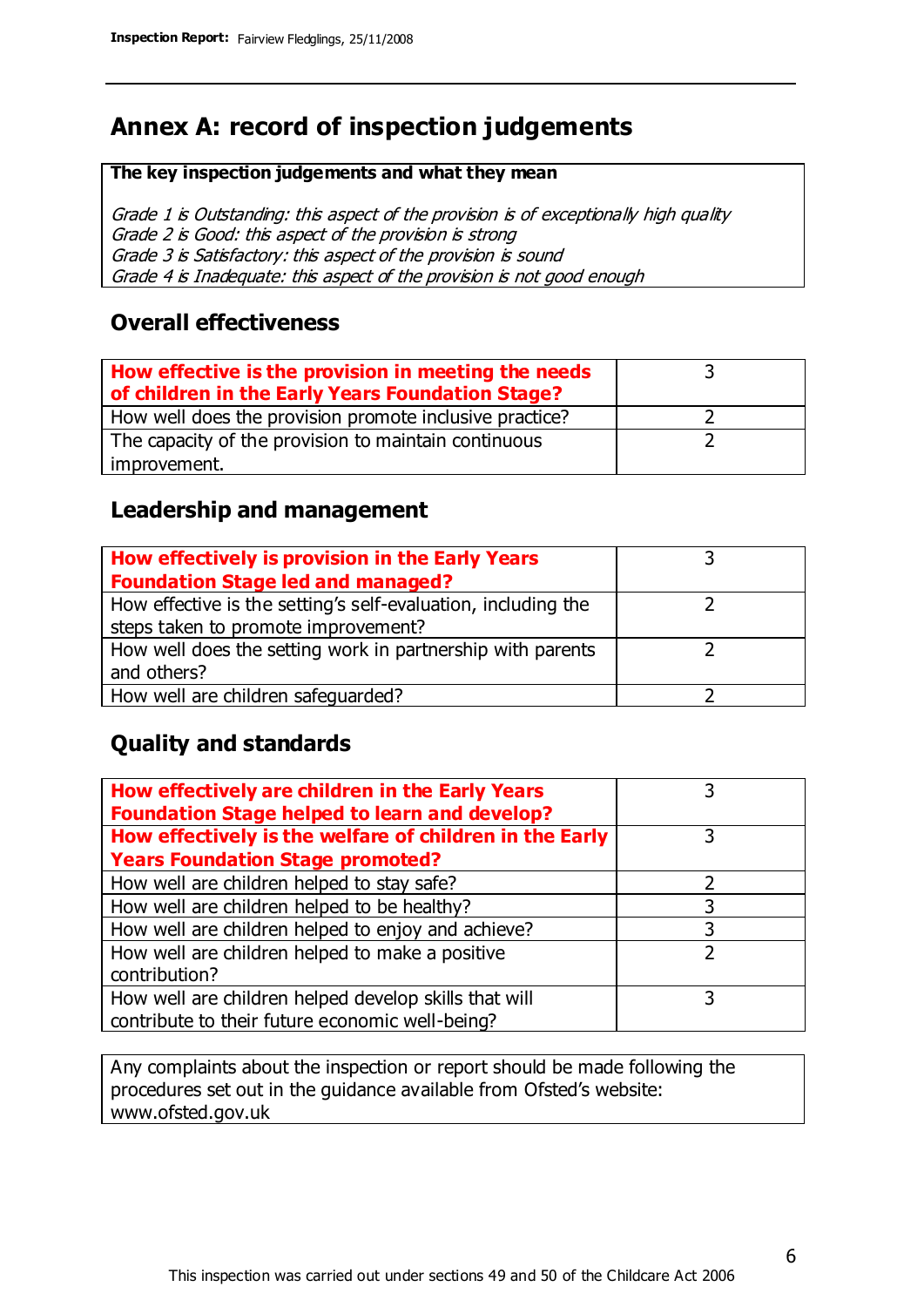# **Annex A: record of inspection judgements**

#### **The key inspection judgements and what they mean**

Grade 1 is Outstanding: this aspect of the provision is of exceptionally high quality Grade 2 is Good: this aspect of the provision is strong Grade 3 is Satisfactory: this aspect of the provision is sound Grade 4 is Inadequate: this aspect of the provision is not good enough

### **Overall effectiveness**

| How effective is the provision in meeting the needs<br>of children in the Early Years Foundation Stage? |  |
|---------------------------------------------------------------------------------------------------------|--|
| How well does the provision promote inclusive practice?                                                 |  |
| The capacity of the provision to maintain continuous                                                    |  |
| improvement.                                                                                            |  |

### **Leadership and management**

| How effectively is provision in the Early Years               |  |
|---------------------------------------------------------------|--|
| <b>Foundation Stage led and managed?</b>                      |  |
| How effective is the setting's self-evaluation, including the |  |
| steps taken to promote improvement?                           |  |
| How well does the setting work in partnership with parents    |  |
| and others?                                                   |  |
| How well are children safequarded?                            |  |

### **Quality and standards**

| How effectively are children in the Early Years<br><b>Foundation Stage helped to learn and develop?</b> |   |
|---------------------------------------------------------------------------------------------------------|---|
| How effectively is the welfare of children in the Early                                                 |   |
| <b>Years Foundation Stage promoted?</b>                                                                 |   |
| How well are children helped to stay safe?                                                              |   |
| How well are children helped to be healthy?                                                             |   |
| How well are children helped to enjoy and achieve?                                                      | 3 |
| How well are children helped to make a positive                                                         | っ |
| contribution?                                                                                           |   |
| How well are children helped develop skills that will                                                   |   |
| contribute to their future economic well-being?                                                         |   |

Any complaints about the inspection or report should be made following the procedures set out in the guidance available from Ofsted's website: www.ofsted.gov.uk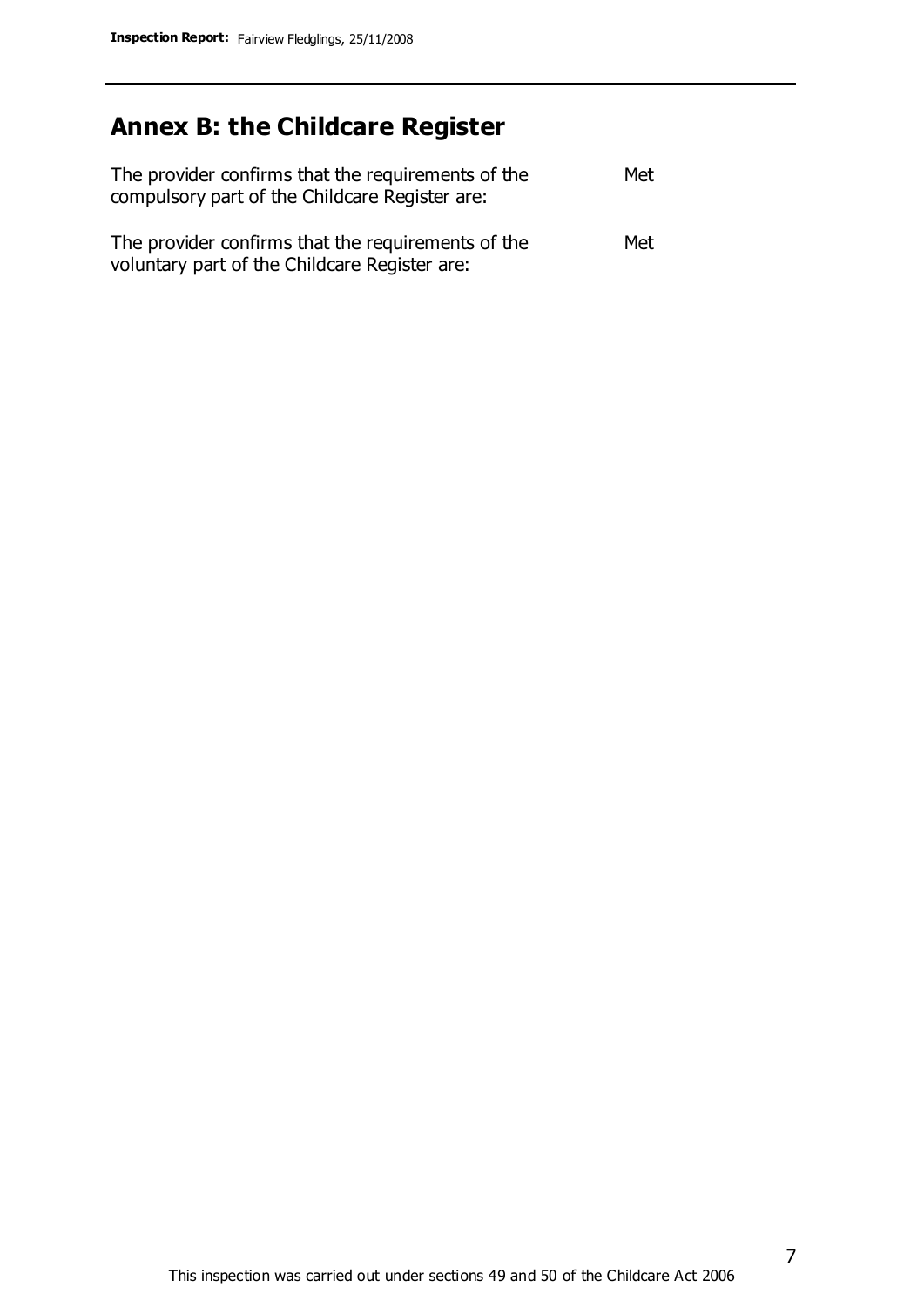# **Annex B: the Childcare Register**

| The provider confirms that the requirements of the<br>compulsory part of the Childcare Register are: | Met |
|------------------------------------------------------------------------------------------------------|-----|
| The provider confirms that the requirements of the<br>voluntary part of the Childcare Register are:  | Met |